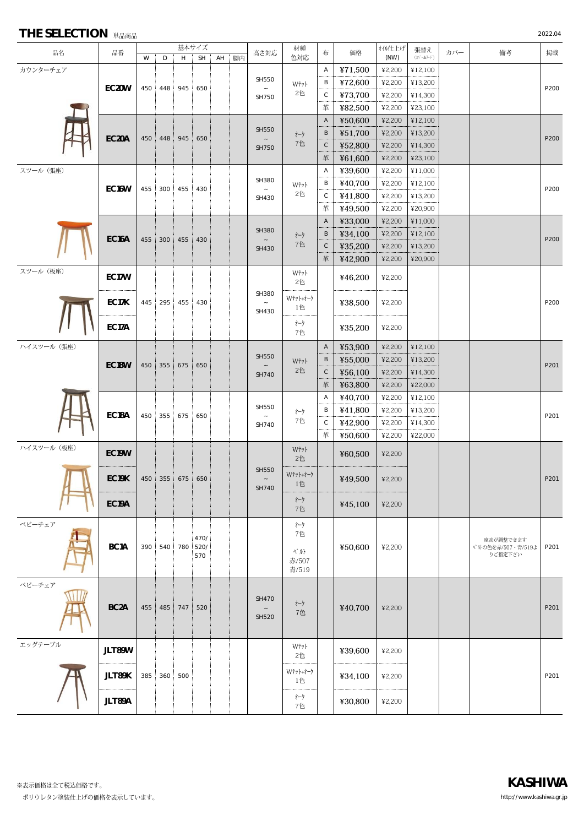| <b>THE SELECTION</b> 単品商品 |  |
|---------------------------|--|
|---------------------------|--|

| THE SELECTION $#$ BBBB |                    |                |                 |             |                      |  |  |                |                |              |         |                |                          |     |                                  | 2022.04 |
|------------------------|--------------------|----------------|-----------------|-------------|----------------------|--|--|----------------|----------------|--------------|---------|----------------|--------------------------|-----|----------------------------------|---------|
| 品名                     | 品番                 | 基本サイズ<br>AH 脚内 |                 |             |                      |  |  | 高さ対応           | 材種<br>色対応      | 布            | 価格      | オイル仕上げ<br>(NW) | 張替え<br>$(\pi - 8.7 - 1)$ | カバー | 備考                               | 掲載      |
| カウンターチェア               |                    | W              | D               | H           | SH :                 |  |  |                |                | Α            | ¥71,500 | ¥2,200         | ¥12,100                  |     |                                  |         |
|                        |                    |                |                 |             |                      |  |  | <b>SH550</b>   |                | В            | ¥72,600 | ¥2,200         | ¥13,200                  |     |                                  |         |
|                        | EC20W              |                | 450 448 945 650 |             |                      |  |  |                | Wtyl<br>2色     | C            | ¥73,700 | 42,200         | ¥14,300                  |     |                                  | P200    |
|                        |                    |                |                 |             |                      |  |  | SH750          |                | 革            | ¥82,500 | ¥2,200         | ¥23,100                  |     |                                  |         |
|                        |                    |                |                 |             |                      |  |  |                |                | A            | ¥50,600 | ¥2,200         | ¥12,100                  |     |                                  |         |
|                        |                    |                |                 |             |                      |  |  | <b>SH550</b>   | オーク            | B            | ¥51,700 | ¥2,200         | ¥13,200                  |     |                                  |         |
|                        | EC20A              | 450            | 448             | 945         | 650                  |  |  |                | 7色             | $\mathsf C$  | ¥52,800 | ¥2,200         | ¥14,300                  |     |                                  | P200    |
|                        |                    |                |                 |             |                      |  |  | <b>SH750</b>   |                | 革            | ¥61,600 | ¥2,200         | ¥23,100                  |     |                                  |         |
| スツール (張座)              |                    |                |                 |             |                      |  |  |                |                | Α            | ¥39,600 | ¥2,200         | ¥11,000                  |     |                                  |         |
|                        |                    |                |                 |             |                      |  |  | SH380          | Wtyl           | В            | ¥40,700 | ¥2,200         | ¥12,100                  |     |                                  |         |
|                        | EC <sub>16</sub> W | 455            |                 | 300 455 430 |                      |  |  |                | 2色             | C            | ¥41,800 | ¥2,200         | ¥13,200                  |     |                                  | P200    |
|                        |                    |                |                 |             |                      |  |  | SH430          |                | 革            | ¥49,500 | ¥2,200         | ¥20,900                  |     |                                  |         |
|                        |                    |                |                 |             |                      |  |  |                |                | $\mathsf{A}$ | ¥33,000 | ¥2,200         | ¥11,000                  |     |                                  |         |
|                        |                    |                |                 |             |                      |  |  | <b>SH380</b>   | オーク<br>7色      | B            | ¥34,100 | ¥2,200         | ¥12,100                  |     |                                  |         |
|                        | EC16A              | 455            |                 | 300 455 430 |                      |  |  |                |                | $\mathsf C$  | ¥35,200 | ¥2,200         | ¥13,200                  |     |                                  | P200    |
|                        |                    |                |                 |             |                      |  |  | SH430          |                | 革            |         | 42,200         | ¥20,900                  |     |                                  |         |
| スツール (板座)              |                    |                |                 |             |                      |  |  |                |                |              | ¥42,900 |                |                          |     |                                  |         |
|                        | EC17W              |                |                 |             |                      |  |  |                | Wtyl<br>2色     |              | ¥46,200 | ¥2,200         |                          |     |                                  |         |
|                        | EC17K              | 445            |                 | 295 455 430 |                      |  |  | SH380<br>SH430 | Wナット+オーク<br>1色 |              | ¥38,500 | ¥2,200         |                          |     |                                  | P200    |
|                        | EC17A              |                |                 |             |                      |  |  |                | オーク<br>7色      |              | ¥35,200 | ¥2,200         |                          |     |                                  |         |
| ハイスツール (張座)            |                    |                |                 |             |                      |  |  |                |                | $\mathsf{A}$ | ¥53,900 | 42,200         | ¥12,100                  |     |                                  |         |
|                        |                    |                |                 |             |                      |  |  | <b>SH550</b>   | Wtyl           | B            | ¥55,000 | ¥2,200         | ¥13,200                  |     |                                  |         |
|                        | EC <sub>18</sub> W | 450            |                 | 355 675 650 |                      |  |  |                | 2色             | $\mathsf C$  | ¥56,100 | ¥2,200         | ¥14,300                  |     |                                  | P201    |
|                        |                    |                |                 |             |                      |  |  | SH740          |                | 革            | ¥63,800 | 42,200         | ¥22,000                  |     |                                  |         |
|                        |                    |                |                 |             |                      |  |  |                |                | Α            | ¥40,700 | ¥2,200         | ¥12,100                  |     |                                  |         |
|                        |                    |                |                 |             |                      |  |  | <b>SH550</b>   |                | В            | ¥41,800 | ¥2,200         | ¥13,200                  |     |                                  |         |
|                        | EC18A              |                | 450 355 675 650 |             |                      |  |  |                | オーケ<br>7色      | $\mathsf C$  | ¥42,900 | ¥2,200         | ¥14,300                  |     |                                  | P201    |
|                        |                    |                |                 |             |                      |  |  | SH740          |                | 革            | ¥50,600 | ¥2,200         | ¥22,000                  |     |                                  |         |
| ハイスツール (板座)            |                    |                |                 |             |                      |  |  |                |                |              |         |                |                          |     |                                  |         |
|                        | EC19W              |                |                 |             |                      |  |  |                | Wtyl<br>2色     |              | ¥60,500 | ¥2,200         |                          |     |                                  |         |
|                        | EC19K              | 450            |                 | 355 675 650 |                      |  |  | SH550<br>SH740 | Wナット+オーク<br>1色 |              | ¥49,500 | ¥2,200         |                          |     |                                  | P201    |
|                        | EC19A              |                |                 |             |                      |  |  |                | オーク<br>7色      |              | ¥45,100 | ¥2,200         |                          |     |                                  |         |
| ベビーチェア                 |                    |                |                 |             |                      |  |  |                | オーク            |              |         |                |                          |     |                                  |         |
|                        |                    |                |                 |             |                      |  |  |                | 7色             |              |         |                |                          |     |                                  |         |
|                        | BC <sub>1</sub> A  | 390            |                 |             | 470/<br>540 780 520/ |  |  |                |                |              | ¥50,600 | ¥2,200         |                          |     | 座高が調整できます<br>ペルトの色を赤/507 ·青/519よ | P201    |
|                        |                    |                |                 |             | 570                  |  |  |                | ヽ゚ゕト<br>赤/507  |              |         |                |                          |     | りご指定下さい                          |         |
|                        |                    |                |                 |             |                      |  |  |                | 青/519          |              |         |                |                          |     |                                  |         |
| ベビーチェア                 |                    |                |                 |             |                      |  |  |                |                |              |         |                |                          |     |                                  |         |
|                        |                    |                |                 |             |                      |  |  | <b>SH470</b>   |                |              |         |                |                          |     |                                  |         |
|                        | BC <sub>2</sub> A  | 455            |                 | 485 747 520 |                      |  |  |                | オーク<br>7色      |              | ¥40,700 | ¥2,200         |                          |     |                                  | P201    |
|                        |                    |                |                 |             |                      |  |  | <b>SH520</b>   |                |              |         |                |                          |     |                                  |         |
|                        |                    |                |                 |             |                      |  |  |                |                |              |         |                |                          |     |                                  |         |
| エッグテーブル                | JLT89W             |                |                 |             |                      |  |  |                | Wtyl           |              | ¥39,600 | ¥2,200         |                          |     |                                  |         |
|                        |                    |                |                 |             |                      |  |  |                | 2色             |              |         |                |                          |     |                                  |         |
|                        | JLT89K             | 385            |                 | 360 500     |                      |  |  |                | Wナット+オーク       |              | ¥34,100 | ¥2,200         |                          |     |                                  | P201    |
|                        |                    |                |                 |             |                      |  |  |                | 1色<br>オーク      |              |         |                |                          |     |                                  |         |
|                        | JLT89A             |                |                 |             |                      |  |  |                | 7色             |              | ¥30,800 | ¥2,200         |                          |     |                                  |         |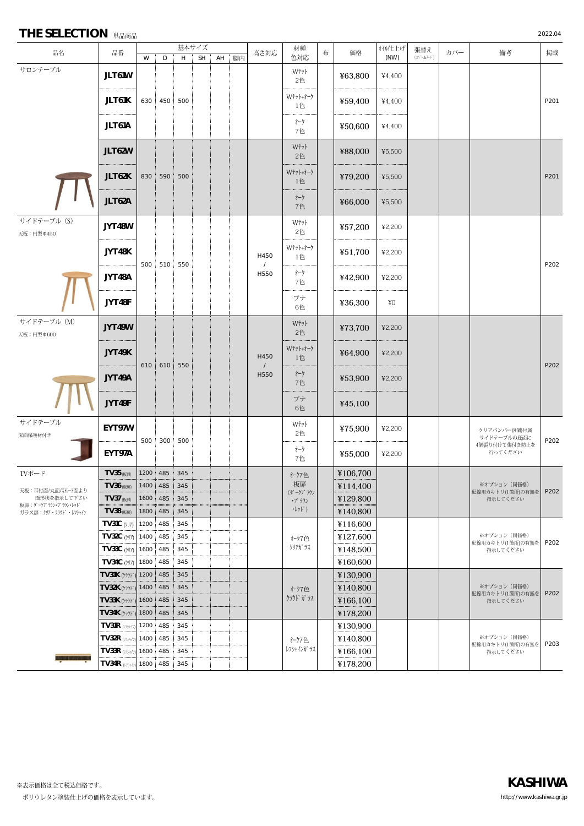## **THE SELECTION** 単品商品 2022.04

|                                     |                               | 基本サイズ        |              |     |           |       |  |                          | 材種                         |           |          | オイル仕上げ  | 張替え                  |         |                                  |      |      |
|-------------------------------------|-------------------------------|--------------|--------------|-----|-----------|-------|--|--------------------------|----------------------------|-----------|----------|---------|----------------------|---------|----------------------------------|------|------|
| 品名                                  | 品番                            | W            | D            | Н   | <b>SH</b> | AH 脚内 |  | 高さ対応                     | 色対応                        | 布         | 価格       | (NW)    | $(\ln^2 - 8\pi + 1)$ | カバー     | 備考                               | 掲載   |      |
| サロンテーブル                             | JLT61W                        |              |              |     |           |       |  |                          | Wtyl<br>2色                 |           | ¥63,800  | ¥4,400  |                      |         |                                  |      |      |
|                                     | JLT61K                        |              | 630 450 500  |     |           |       |  |                          | Wtyl+オーク<br>1色             |           | ¥59,400  | ¥4,400  |                      |         |                                  | P201 |      |
|                                     | JLT61A                        |              |              |     |           |       |  |                          | オーク<br>7色                  |           | ¥50,600  | ¥4,400  |                      |         |                                  |      |      |
|                                     | JLT62W                        |              |              |     |           |       |  |                          | Wtyl<br>2色                 |           | ¥88,000  | ¥5,500  |                      |         |                                  |      |      |
|                                     | JLT62K                        |              | 830 590 500  |     |           |       |  |                          | Wナット+オーク<br>1色             |           | ¥79,200  | ¥5,500  |                      |         |                                  | P201 |      |
|                                     | JLT62A                        |              |              |     |           |       |  |                          | オーク<br>7色                  |           | ¥66,000  | ¥5,500  |                      |         |                                  |      |      |
| サイドテーブル (S)<br>天板:円型Φ450            | JYT48W                        |              |              |     |           |       |  | H450<br>$\prime$<br>H550 | Wtyl<br>2色                 |           | ¥57,200  | ¥2,200  |                      |         |                                  |      |      |
|                                     | JYT48K                        |              |              |     |           |       |  |                          | Wナット+オーク<br>1色             |           | ¥51,700  | ¥2,200  |                      |         |                                  |      |      |
|                                     | JYT48A                        |              | 500 510 550  |     |           |       |  |                          |                            | オーク<br>7色 |          | ¥42,900 | ¥2,200               |         |                                  |      | P202 |
|                                     | JYT48F                        |              |              |     |           |       |  |                          | ブナ<br>6色                   |           | ¥36,300  | ¥O      |                      |         |                                  |      |      |
| サイドテーブル (M)<br>天板:円型Φ600            | JYT49W                        |              |              |     |           |       |  |                          | Wtyl<br>2色                 |           | ¥73,700  | ¥2,200  |                      |         |                                  |      |      |
|                                     | JYT49K                        |              |              |     |           |       |  | H450                     | Wナット+オーク<br>1色             |           | ¥64,900  | ¥2,200  |                      |         |                                  |      |      |
|                                     | JYT49A                        | 610          | 610 550      |     |           |       |  | $\prime$<br>H550         | オーク<br>7色                  |           | ¥53,900  | ¥2,200  |                      |         |                                  | P202 |      |
|                                     | JYT49F                        |              |              |     |           |       |  |                          | ブナ<br>6色                   |           | ¥45,100  |         |                      |         |                                  |      |      |
| サイドテーブル<br>床面保護材付き                  | EYT97W                        |              |              |     |           |       |  |                          | Wtyl<br>2色                 |           | ¥75,900  | ¥2,200  |                      |         | クリアバンパー(8個)付属<br>サイドテーブルの底面に     |      |      |
|                                     | EYT97A                        |              | 500 300 500  |     |           |       |  |                          | オーケ<br>7色                  |           | ¥55,000  | ¥2,200  |                      | 行ってください | 4個張り付けて傷付き防止を                    | P202 |      |
| TVボード                               | <b>TV35 (板扉)</b>              |              | 1200 485 345 |     |           |       |  |                          | オーク7色                      |           | ¥106,700 |         |                      |         |                                  |      |      |
| 天板:耳付面/丸面/ストレート面より                  | $TV36$ ( $km$ )               |              | 1400 485 345 |     |           |       |  |                          | 板扉<br>(ダークプラウン             |           | ¥114,400 |         |                      |         | ※オプション(同価格)<br>配線用カキトリ(1箇所)の有無を  | P202 |      |
| 面形状を指示して下さい<br>板扉: ダークプラウン・プラウン・レッド | <b>TV37 (板扉)</b>              | 1600         | 485          | 345 |           |       |  |                          | ・プラウン                      |           | ¥129,800 |         |                      |         | 指示してください                         |      |      |
| ガラス扉:クリア・クラウド・レフシャイン                | <b>TV38 (板扉)</b>              | 1800         | 485          | 345 |           |       |  |                          | $\cdot \nu$ <sup>*</sup> ) |           | ¥140,800 |         |                      |         |                                  |      |      |
|                                     | TV31C (クリア)                   | 1200         | 485          | 345 |           |       |  |                          |                            |           | ¥116,600 |         |                      |         |                                  |      |      |
|                                     | TV32C (ケリア)                   | 1400 485     |              | 345 |           |       |  |                          | オーク7色                      |           | ¥127,600 |         |                      |         | ※オプション (同価格)<br>配線用カキトリ(1箇所)の有無を | P202 |      |
|                                     | TV33C (クリア)                   |              | 1600 485     | 345 |           |       |  |                          | クリアカ ラス                    |           | ¥148,500 |         |                      |         | 指示してください                         |      |      |
|                                     | TV34C (クリア)                   | 1800 485     |              | 345 |           |       |  |                          |                            |           | ¥160,600 |         |                      |         |                                  |      |      |
|                                     | TV31K (クラウド)                  | 1200         | 485          | 345 |           |       |  |                          |                            |           | ¥130,900 |         |                      |         |                                  |      |      |
|                                     | <b>TV32K</b> (クラウド            | 1400<br>1600 | 485<br>485   | 345 |           |       |  |                          | オーク7色                      |           | ¥140,800 |         |                      |         | ※オプション (同価格)<br>配線用カキトリ(1箇所)の有無を | P202 |      |
|                                     | TV33K (クラクド)                  |              |              | 345 |           |       |  |                          | クラウドガラス                    |           | ¥166,100 |         |                      |         | 指示してください                         |      |      |
|                                     | <b>TV34K</b> (クラウド            | 1800         | 485          | 345 |           |       |  |                          |                            |           | ¥178,200 |         |                      |         |                                  |      |      |
|                                     | $TV31R \psi \rightarrow \psi$ | 1200 485     |              | 345 |           |       |  |                          |                            |           | ¥130,900 |         |                      |         |                                  |      |      |
|                                     | $TV32R$ $(V77+12)$            | 1400 485     |              | 345 |           |       |  |                          | オーク7色                      |           | ¥140,800 |         |                      |         | ※オプション (同価格)                     |      |      |
|                                     | TV33R (V7540)                 | 1600         | 485          | 345 |           |       |  |                          | レフシャインガ ラス                 |           | ¥166,100 |         |                      |         | 配線用カキトリ(1箇所)の有無を<br>指示してください     | P203 |      |
|                                     | TV34R (v3940)                 | 1800 485     |              | 345 |           |       |  |                          |                            |           | ¥178,200 |         |                      |         |                                  |      |      |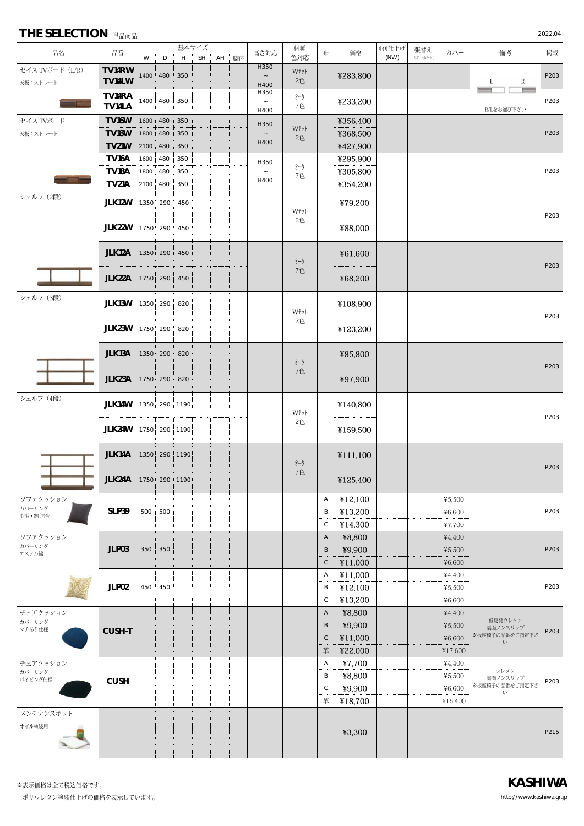| 品名                          | 品番                   |          |               | 基本サイズ |    |       |  | 高さ対応                   | 材種                                        |              | 価格<br>布             | オイル仕上げ | 張替え                      | カバー               | 備考                              | 掲載   |
|-----------------------------|----------------------|----------|---------------|-------|----|-------|--|------------------------|-------------------------------------------|--------------|---------------------|--------|--------------------------|-------------------|---------------------------------|------|
|                             |                      | W        | D             | H     | SH | AH 脚内 |  |                        | 色対応                                       |              |                     | (NW)   | $(\pi^2 - 8\pi^2 - 1)^2$ |                   |                                 |      |
| セイス TVボード (L/R)<br>天板:ストレート | TV14RW<br>TV14LW     | 1400 480 |               | 350   |    |       |  | H350<br>$\sim$<br>H400 | $\mathbf{W}^{\dagger}\mathbf{y}$ }-<br>2色 |              | ¥283,800            |        |                          |                   | $\mathbb{R}$<br>L               | P203 |
|                             | TV14RA<br>TV14LA     |          | 1400 480      | 350   |    |       |  | H350<br>$\sim$<br>H400 | オーク<br>7色                                 |              | ¥233,200            |        |                          |                   | R/Lをお選び下さい                      | P203 |
| セイス TVボード                   | TV16W                |          | 1600 480      | 350   |    |       |  | H350                   |                                           |              | ¥356,400            |        |                          |                   |                                 |      |
| 天板:ストレート                    | TV18W                | 1800     | 480           | 350   |    |       |  | $\sim$                 | Wtyl                                      |              | ¥368,500            |        |                          |                   |                                 | P203 |
|                             | <b>TV21W</b>         | 2100     | 480           | 350   |    |       |  | H400                   | 2色                                        |              | ¥427,900            |        |                          |                   |                                 |      |
|                             | TV <sub>16</sub> A   | 1600     | 480           | 350   |    |       |  |                        |                                           |              | ¥295,900            |        |                          |                   |                                 |      |
|                             | TV18A                | 1800     | 480           | 350   |    |       |  | H350<br>$\sim$         | オーク                                       |              | ¥305,800            |        |                          |                   |                                 | P203 |
|                             | TV21A                | 2100 480 |               | 350   |    |       |  | H400                   | 7色                                        |              | ¥354,200            |        |                          |                   |                                 |      |
| シェルフ (2段)                   | JLK12W               |          | 1350 290 450  |       |    |       |  |                        |                                           |              | ¥79,200             |        |                          |                   |                                 |      |
|                             | JLK22W               |          | 1750 290 450  |       |    |       |  |                        | Wtyl<br>2色                                |              | ¥88,000             |        |                          |                   |                                 | P203 |
|                             | JLK12A               |          | 1350 290 450  |       |    |       |  |                        |                                           |              | ¥61,600             |        |                          |                   |                                 |      |
|                             |                      |          |               |       |    |       |  |                        | オーク<br>7色                                 |              |                     |        |                          |                   |                                 | P203 |
|                             | JLK22A               |          | 1750 290 450  |       |    |       |  |                        |                                           |              | ¥68,200             |        |                          |                   |                                 |      |
| シェルフ (3段)                   | JLK13W               |          | 1350 290 820  |       |    |       |  |                        | Wtyl                                      |              | ¥108,900            |        |                          |                   |                                 | P203 |
|                             | JLK23W               |          | 1750 290 820  |       |    |       |  |                        | 2色                                        |              | ¥123,200            |        |                          |                   |                                 |      |
|                             | JLK13A               |          | 1350 290 820  |       |    |       |  |                        | オーク                                       |              | ¥85,800             |        |                          |                   |                                 |      |
|                             | JLK23A               |          | 1750 290 820  |       |    |       |  |                        | 7色                                        |              | ¥97,900             |        |                          |                   |                                 | P203 |
| シェルフ (4段)                   | JLK14W               |          | 1350 290 1190 |       |    |       |  |                        |                                           |              | ¥140,800            |        |                          |                   |                                 |      |
|                             | JLK24W               |          | 1750 290 1190 |       |    |       |  |                        | Wtyl<br>2色                                |              | ¥159,500            |        |                          |                   |                                 | P203 |
|                             | JLK14A               |          | 1350 290 1190 |       |    |       |  |                        |                                           |              | ¥111,100            |        |                          |                   |                                 |      |
|                             | JLK24A 1750 290 1190 |          |               |       |    |       |  |                        | オーク<br>7色                                 |              |                     |        |                          |                   |                                 | P203 |
| ソファクッション                    |                      |          |               |       |    |       |  |                        |                                           | Α            | ¥125,400<br>¥12,100 |        |                          | ¥5,500            |                                 |      |
| カバーリング                      | SLP39                |          | 500 500       |       |    |       |  |                        |                                           | В            | ¥13,200             |        |                          | ¥6,600            |                                 | P203 |
| 羽毛·綿混合                      |                      |          |               |       |    |       |  |                        |                                           | C            | ¥14.300             |        |                          | ¥7,700            |                                 |      |
| ソファクッション                    |                      |          |               |       |    |       |  |                        |                                           | A            | ¥8,800              |        |                          | ¥4,400            |                                 |      |
| カバーリング<br>エステル綿             | JLP03                |          | 350 350       |       |    |       |  |                        |                                           | B            | ¥9,900              |        |                          | ¥5,500            |                                 | P203 |
|                             |                      |          |               |       |    |       |  |                        |                                           | $\mathsf C$  | ¥11,000             |        |                          | ¥6,600            |                                 |      |
|                             |                      |          |               |       |    |       |  |                        |                                           | A            | ¥11,000             |        |                          | ¥4,400            |                                 |      |
|                             | JLP02                |          | 450 450       |       |    |       |  |                        |                                           | B            | ¥12,100             |        |                          | ¥5,500            |                                 | P203 |
|                             |                      |          |               |       |    |       |  |                        |                                           | С            | ¥13,200             |        |                          | ¥6,600            |                                 |      |
| チェアクッション                    |                      |          |               |       |    |       |  |                        |                                           | $\mathsf{A}$ | ¥8,800              |        |                          | ¥4,400            |                                 |      |
| カバーリング<br>マチあり仕様            | CUSH-T               |          |               |       |    |       |  |                        |                                           | B            | ¥9,900              |        |                          | ¥5,500            | 低反発ウレタン<br>裏面ノンスリップ             | P203 |
|                             |                      |          |               |       |    |       |  |                        |                                           | $\mathsf C$  | ¥11,000             |        |                          | ¥6,600            | ※板座椅子の品番をご指定下さ<br>$\mathcal{N}$ |      |
|                             |                      |          |               |       |    |       |  |                        |                                           | 革            | ¥22,000             |        |                          | ¥17,600           |                                 |      |
| チェアクッション<br>カバーリング          |                      |          |               |       |    |       |  |                        |                                           | A            | ¥7,700              |        |                          | ¥4,400            | ウレタン                            |      |
| パイピング仕様                     | <b>CUSH</b>          |          |               |       |    |       |  |                        |                                           | В            | ¥8,800              |        |                          | ¥5,500<br>.       | 裏面ノンスリップ                        | P203 |
|                             |                      |          |               |       |    |       |  |                        |                                           | C<br>革       | ¥9,900<br>¥18,700   |        |                          | ¥6,600<br>¥15,400 | ※板座椅子の品番をご指定下さ<br>ŅУ.           |      |
| メンテナンスキット                   |                      |          |               |       |    |       |  |                        |                                           |              |                     |        |                          |                   |                                 |      |
| オイル塗装用                      |                      |          |               |       |    |       |  |                        |                                           |              | ¥3,300              |        |                          |                   |                                 | P215 |

**THE SELECTION** 単品商品 2022.04